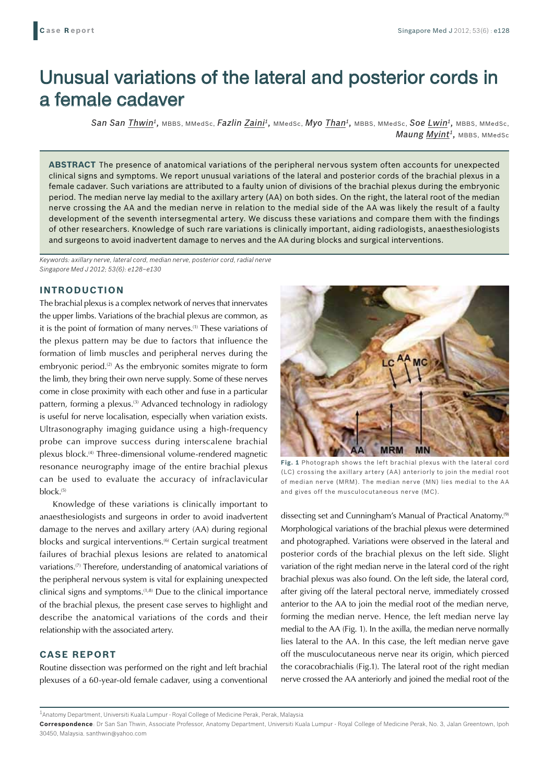# Unusual variations of the lateral and posterior cords in a female cadaver

*San San Thwin1,* MBBS, MMedSc, *Fazlin Zaini1,* MMedSc, *Myo Than1,* MBBS, MMedSc, *Soe Lwin1,* MBBS, MMedSc, *Maung Myint1,* MBBS, MMedSc

**ABSTRACT** The presence of anatomical variations of the peripheral nervous system often accounts for unexpected clinical signs and symptoms. We report unusual variations of the lateral and posterior cords of the brachial plexus in a female cadaver. Such variations are attributed to a faulty union of divisions of the brachial plexus during the embryonic period. The median nerve lay medial to the axillary artery (AA) on both sides. On the right, the lateral root of the median nerve crossing the AA and the median nerve in relation to the medial side of the AA was likely the result of a faulty development of the seventh intersegmental artery. We discuss these variations and compare them with the findings of other researchers. Knowledge of such rare variations is clinically important, aiding radiologists, anaesthesiologists and surgeons to avoid inadvertent damage to nerves and the AA during blocks and surgical interventions.

*Keywords: axillary nerve, lateral cord, median nerve, posterior cord, radial nerve Singapore Med J 2012; 53(6): e128–e130*

### **INTRODUCTION**

The brachial plexus is a complex network of nerves that innervates the upper limbs. Variations of the brachial plexus are common, as it is the point of formation of many nerves.(1) These variations of the plexus pattern may be due to factors that influence the formation of limb muscles and peripheral nerves during the embryonic period.<sup>(2)</sup> As the embryonic somites migrate to form the limb, they bring their own nerve supply. Some of these nerves come in close proximity with each other and fuse in a particular pattern, forming a plexus.(3) Advanced technology in radiology is useful for nerve localisation, especially when variation exists. Ultrasonography imaging guidance using a high-frequency probe can improve success during interscalene brachial plexus block.(4) Three-dimensional volume-rendered magnetic resonance neurography image of the entire brachial plexus can be used to evaluate the accuracy of infraclavicular  $block<sub>5</sub>$ 

Knowledge of these variations is clinically important to anaesthesiologists and surgeons in order to avoid inadvertent damage to the nerves and axillary artery (AA) during regional blocks and surgical interventions.<sup>(6)</sup> Certain surgical treatment failures of brachial plexus lesions are related to anatomical variations.(7) Therefore, understanding of anatomical variations of the peripheral nervous system is vital for explaining unexpected clinical signs and symptoms.(1,8) Due to the clinical importance of the brachial plexus, the present case serves to highlight and describe the anatomical variations of the cords and their relationship with the associated artery.

# **CASE REPORT**

Routine dissection was performed on the right and left brachial plexuses of a 60-year-old female cadaver, using a conventional



**Fig. 1** Photograph shows the left brachial plexus with the lateral cord (LC) crossing the axillary artery (AA) anteriorly to join the medial root of median nerve (MRM). The median nerve (MN) lies medial to the AA and gives off the musculocutaneous nerve (MC).

dissecting set and Cunningham's Manual of Practical Anatomy.<sup>(9)</sup> Morphological variations of the brachial plexus were determined and photographed. Variations were observed in the lateral and posterior cords of the brachial plexus on the left side. Slight variation of the right median nerve in the lateral cord of the right brachial plexus was also found. On the left side, the lateral cord, after giving off the lateral pectoral nerve, immediately crossed anterior to the AA to join the medial root of the median nerve, forming the median nerve. Hence, the left median nerve lay medial to the AA (Fig. 1). In the axilla, the median nerve normally lies lateral to the AA. In this case, the left median nerve gave off the musculocutaneous nerve near its origin, which pierced the coracobrachialis (Fig.1). The lateral root of the right median nerve crossed the AA anteriorly and joined the medial root of the

<sup>&</sup>lt;sup>1</sup>Anatomy Department, Universiti Kuala Lumpur - Royal College of Medicine Perak, Perak, Malaysia

**Correspondence**: Dr San San Thwin, Associate Professor, Anatomy Department, Universiti Kuala Lumpur - Royal College of Medicine Perak, No. 3, Jalan Greentown, Ipoh 30450, Malaysia. santhwin@yahoo.com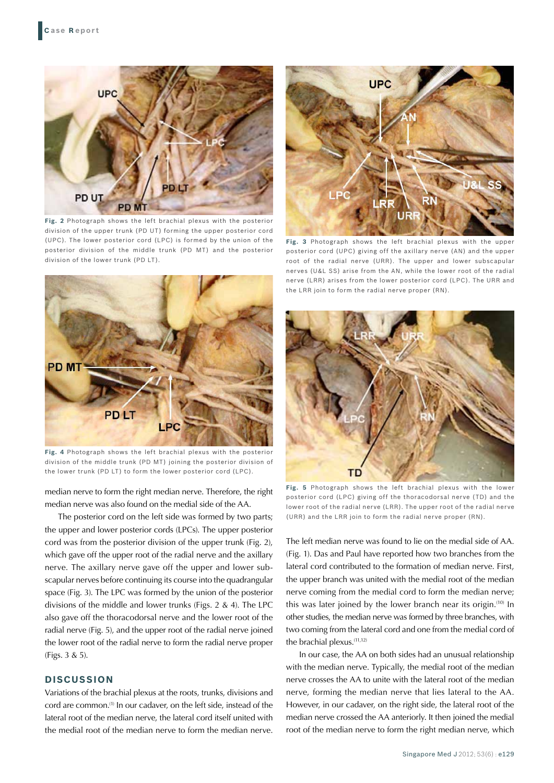

**Fig. 2** Photograph shows the left brachial plexus with the posterior division of the upper trunk (PD UT) forming the upper posterior cord (UPC). The lower posterior cord (LPC) is formed by the union of the posterior division of the middle trunk (PD MT) and the posterior division of the lower trunk (PD LT).



**Fig. 4** Photograph shows the left brachial plexus with the posterior division of the middle trunk (PD MT) joining the posterior division of the lower trunk (PD LT) to form the lower posterior cord (LPC).

median nerve to form the right median nerve. Therefore, the right median nerve was also found on the medial side of the AA.

The posterior cord on the left side was formed by two parts; the upper and lower posterior cords (LPCs). The upper posterior cord was from the posterior division of the upper trunk (Fig. 2), which gave off the upper root of the radial nerve and the axillary nerve. The axillary nerve gave off the upper and lower subscapular nerves before continuing its course into the quadrangular space (Fig. 3). The LPC was formed by the union of the posterior divisions of the middle and lower trunks (Figs. 2 & 4). The LPC also gave off the thoracodorsal nerve and the lower root of the radial nerve (Fig. 5), and the upper root of the radial nerve joined the lower root of the radial nerve to form the radial nerve proper (Figs. 3 & 5).

## **DISCUSSION**

Variations of the brachial plexus at the roots, trunks, divisions and cord are common.(1) In our cadaver, on the left side, instead of the lateral root of the median nerve, the lateral cord itself united with the medial root of the median nerve to form the median nerve.



**Fig. 3** Photograph shows the left brachial plexus with the upper posterior cord (UPC) giving off the axillary nerve (AN) and the upper root of the radial nerve (URR). The upper and lower subscapular nerves (U&L SS) arise from the AN, while the lower root of the radial nerve (LRR) arises from the lower posterior cord (LPC). The URR and the LRR join to form the radial nerve proper (RN).



**Fig. 5** Photograph shows the left brachial plexus with the lower posterior cord (LPC) giving off the thoracodorsal nerve (TD) and the lower root of the radial nerve (LRR). The upper root of the radial nerve (URR) and the LRR join to form the radial nerve proper (RN).

The left median nerve was found to lie on the medial side of AA. (Fig. 1). Das and Paul have reported how two branches from the lateral cord contributed to the formation of median nerve. First, the upper branch was united with the medial root of the median nerve coming from the medial cord to form the median nerve; this was later joined by the lower branch near its origin.<sup>(10)</sup> In other studies, the median nerve was formed by three branches, with two coming from the lateral cord and one from the medial cord of the brachial plexus.(11,12)

In our case, the AA on both sides had an unusual relationship with the median nerve. Typically, the medial root of the median nerve crosses the AA to unite with the lateral root of the median nerve, forming the median nerve that lies lateral to the AA. However, in our cadaver, on the right side, the lateral root of the median nerve crossed the AA anteriorly. It then joined the medial root of the median nerve to form the right median nerve, which